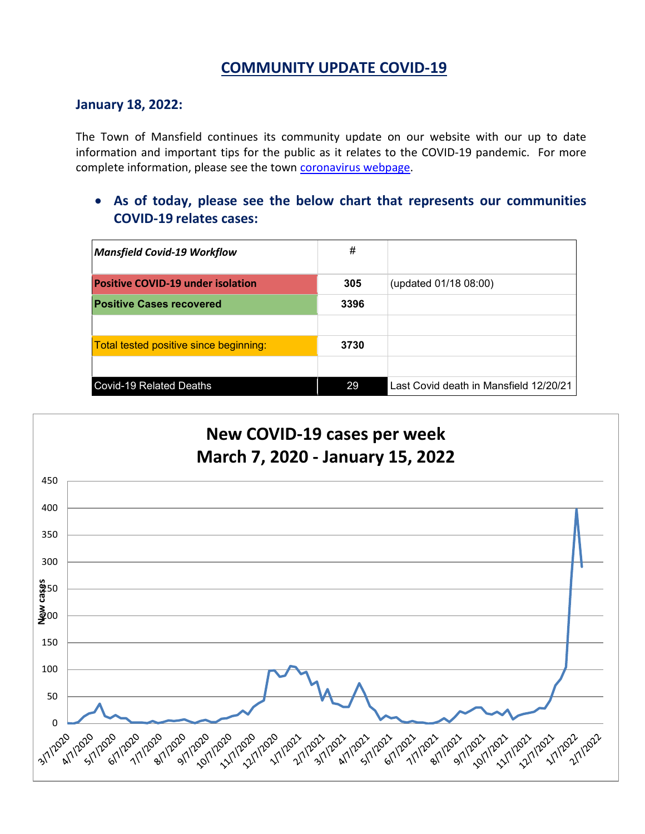## **COMMUNITY UPDATE COVID-19**

#### **January 18, 2022:**

The Town of Mansfield continues its community update on our website with our up to date information and important tips for the public as it relates to the COVID-19 pandemic. For more complete information, please see the town [coronavirus webpage.](https://www.mansfieldma.com/536/Coronavirus-Information)

• **As of today, please see the below chart that represents our communities COVID-19 relates cases:**

| <b>Mansfield Covid-19 Workflow</b>       | #    |                                        |
|------------------------------------------|------|----------------------------------------|
| <b>Positive COVID-19 under isolation</b> | 305  | (updated 01/18 08:00)                  |
| <b>Positive Cases recovered</b>          | 3396 |                                        |
|                                          |      |                                        |
| Total tested positive since beginning:   | 3730 |                                        |
|                                          |      |                                        |
| <b>Covid-19 Related Deaths</b>           | 29   | Last Covid death in Mansfield 12/20/21 |

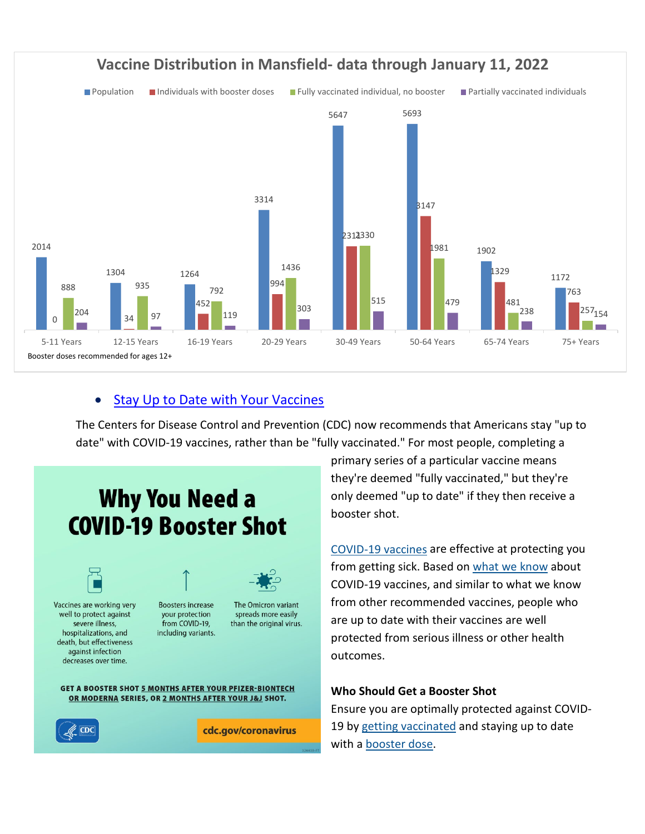

### Stay Up to Date with Your Vaccines

The Centers for Disease Control and Prevention (CDC) now recommends that Americans stay "up to date" with COVID-19 vaccines, rather than be "fully vaccinated." For most people, completing a



primary series of a particular vaccine means they're deemed "fully vaccinated," but they're only deemed "up to date" if they then receive a booster shot.

[COVID-19 vaccines](https://www.cdc.gov/coronavirus/2019-ncov/vaccines/keythingstoknow.html) are effective at protecting you from getting sick. Based on what [we know](https://www.cdc.gov/coronavirus/2019-ncov/vaccines/keythingstoknow.html) about COVID-19 vaccines, and similar to what we know from other recommended vaccines, people who are up to date with their vaccines are well protected from serious illness or other health outcomes.

#### **Who Should Get a Booster Shot**

Ensure you are optimally protected against COVID19 by [getting vaccinated](https://www.cdc.gov/coronavirus/2019-ncov/vaccines/your-vaccination.html) and staying up to date with a [booster dose.](https://www.cdc.gov/coronavirus/2019-ncov/vaccines/booster-shot.html)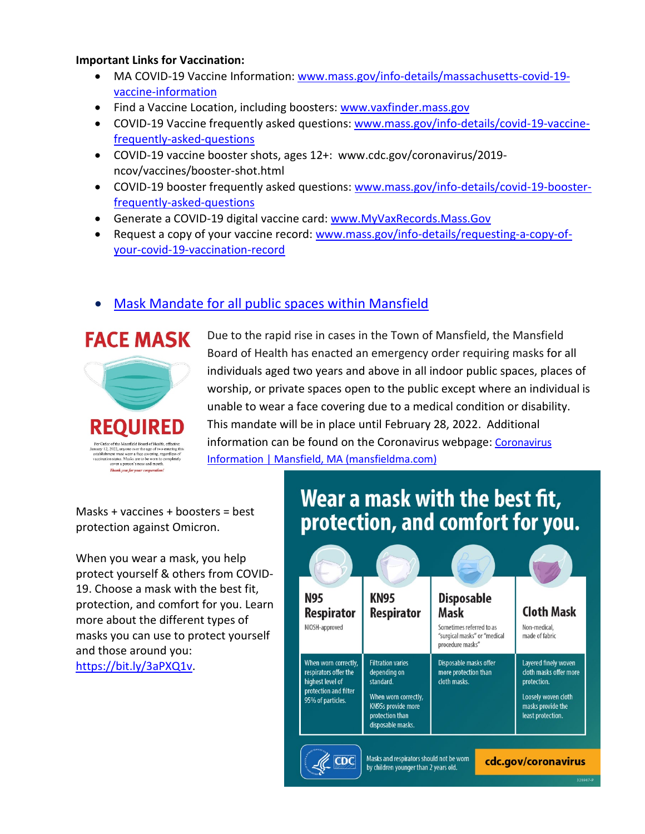#### **Important Links for Vaccination:**

- MA COVID-19 Vaccine Information: [www.mass.gov/info-details/massachusetts-covid-19](http://www.mass.gov/info-details/massachusetts-covid-19-vaccine-information) [vaccine-information](http://www.mass.gov/info-details/massachusetts-covid-19-vaccine-information)
- Find a Vaccine Location, including boosters: [www.vaxfinder.mass.gov](http://www.vaxfinder.mass.gov/)
- COVID-19 Vaccine frequently asked questions: [www.mass.gov/info-details/covid-19-vaccine](http://www.mass.gov/info-details/covid-19-vaccine-frequently-asked-questions)[frequently-asked-questions](http://www.mass.gov/info-details/covid-19-vaccine-frequently-asked-questions)
- COVID-19 vaccine booster shots, ages 12+: www.cdc.gov/coronavirus/2019 ncov/vaccines/booster-shot.html
- COVID-19 booster frequently asked questions: [www.mass.gov/info-details/covid-19-booster](http://www.mass.gov/info-details/covid-19-booster-frequently-asked-questions)[frequently-asked-questions](http://www.mass.gov/info-details/covid-19-booster-frequently-asked-questions)
- Generate a COVID-19 digital vaccine card: [www.MyVaxRecords.Mass.Gov](http://www.myvaxrecords.mass.gov/)
- Request a copy of your vaccine record: [www.mass.gov/info-details/requesting-a-copy-of](http://www.mass.gov/info-details/requesting-a-copy-of-your-covid-19-vaccination-record)[your-covid-19-vaccination-record](http://www.mass.gov/info-details/requesting-a-copy-of-your-covid-19-vaccination-record)

## • Mask [Mandate for all public spaces within Mansfield](https://www.cdc.gov/coronavirus/2019-ncov/prevent-getting-sick/about-face-coverings.html)



Due to the rapid rise in cases in the Town of Mansfield, the Mansfield Board of Health has enacted an emergency order requiring masks for all individuals aged two years and above in all indoor public spaces, places of worship, or private spaces open to the public except where an individual is unable to wear a face covering due to a medical condition or disability. This mandate will be in place until February 28, 2022. Additional information can be found on the [Coronavirus](https://www.mansfieldma.com/536/Coronavirus-Information) webpage: Coronavirus [Information | Mansfield, MA \(mansfieldma.com\)](https://www.mansfieldma.com/536/Coronavirus-Information)

Masks + vaccines + boosters = best protection against Omicron.

When you wear a mask, you help protect yourself & others from COVID-19. Choose a mask with the best fit, protection, and comfort for you. Learn more about the different types of masks you can use to protect yourself and those around you: [https://bit.ly/3aPXQ1v.](https://bit.ly/3aPXQ1v)

# Wear a mask with the best fit, protection, and comfort for you.

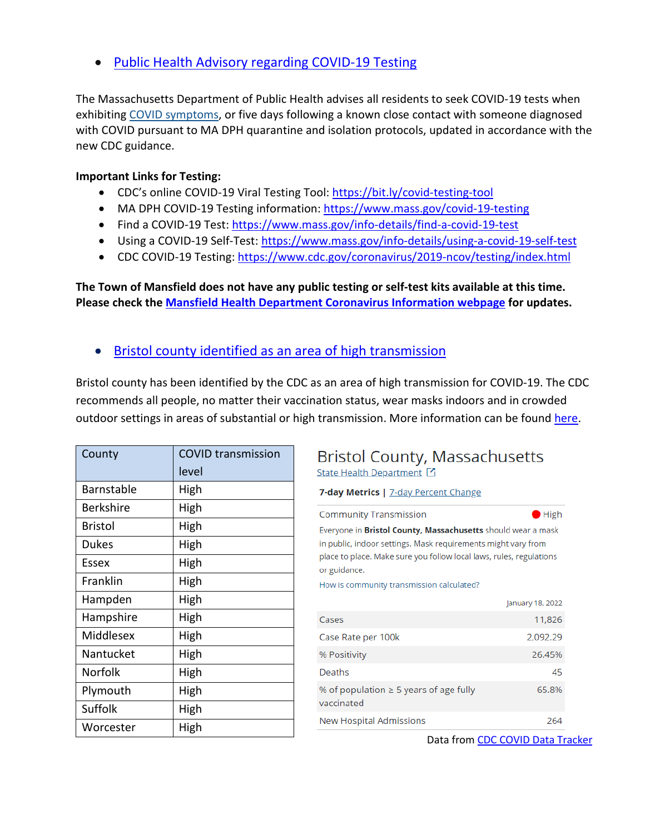• [Public Health Advisory regarding COVID-19 Testing](https://www.mass.gov/advisory/public-health-advisory-regarding-covid-19-testing)

The Massachusetts Department of Public Health advises all residents to seek COVID-19 tests when exhibiting [COVID symptoms,](https://www.mass.gov/info-details/about-covid-19#symptoms-) or five days following a known close contact with someone diagnosed with COVID pursuant to MA DPH quarantine and isolation protocols, updated in accordance with the new CDC guidance.

#### **Important Links for Testing:**

- CDC's online COVID-19 Viral Testing Tool: [https://bit.ly/covid-testing-tool](https://bit.ly/covid-testing-tool?fbclid=IwAR2ddn7qeVY_b_v0O-rkK3en8x-EPMGTVlQDDSNZxwhZrjtH_hTNHEzYKP8)
- MA DPH COVID-19 Testing information:<https://www.mass.gov/covid-19-testing>
- Find a COVID-19 Test:<https://www.mass.gov/info-details/find-a-covid-19-test>
- Using a COVID-19 Self-Test:<https://www.mass.gov/info-details/using-a-covid-19-self-test>
- CDC COVID-19 Testing:<https://www.cdc.gov/coronavirus/2019-ncov/testing/index.html>

**The Town of Mansfield does not have any public testing or self-test kits available at this time. Please check the [Mansfield Health Department Coronavirus Information webpage](https://www.mansfieldma.com/536/Coronavirus-Information) for updates.** 

• [Bristol county identified as an area of high](https://covid.cdc.gov/covid-data-tracker/#county-view) transmission

Bristol county has been identified by the CDC as an area of high transmission for COVID-19. The CDC recommends all people, no matter their vaccination status, wear masks indoors and in crowded outdoor settings in areas of substantial or high transmission. More information can be found [here.](https://www.cdc.gov/coronavirus/2019-ncov/prevent-getting-sick/diy-cloth-face-coverings.html)

| County       | <b>COVID transmission</b> |
|--------------|---------------------------|
|              | level                     |
| Barnstable   | High                      |
| Berkshire    | High                      |
| Bristol      | High                      |
| <b>Dukes</b> | High                      |
| Essex        | High                      |
| Franklin     | High                      |
| Hampden      | High                      |
| Hampshire    | High                      |
| Middlesex    | High                      |
| Nantucket    | High                      |
| Norfolk      | High                      |
| Plymouth     | High                      |
| Suffolk      | High                      |
| Worcester    | High                      |

## **Bristol County, Massachusetts** State Health Department [4]

7-day Metrics | 7-day Percent Change

| <b>Community Transmission</b>                                                                                                                                                                                               | $\blacksquare$ High |  |
|-----------------------------------------------------------------------------------------------------------------------------------------------------------------------------------------------------------------------------|---------------------|--|
| Everyone in <b>Bristol County, Massachusetts</b> should wear a mask<br>in public, indoor settings. Mask requirements might vary from<br>place to place. Make sure you follow local laws, rules, regulations<br>or guidance. |                     |  |
| How is community transmission calculated?                                                                                                                                                                                   |                     |  |
|                                                                                                                                                                                                                             | January 18, 2022    |  |
| Cases                                                                                                                                                                                                                       | 11,826              |  |
| Case Rate per 100k                                                                                                                                                                                                          | 2,092.29            |  |
| % Positivity                                                                                                                                                                                                                | 26.45%              |  |
| Deaths                                                                                                                                                                                                                      | 45                  |  |
| % of population $\geq 5$ years of age fully<br>vaccinated                                                                                                                                                                   | 65.8%               |  |
| New Hospital Admissions                                                                                                                                                                                                     | 264                 |  |

Data from [CDC COVID Data Tracker](https://covid.cdc.gov/covid-data-tracker/#county-view|Massachusetts|25005|Risk|community_transmission_level)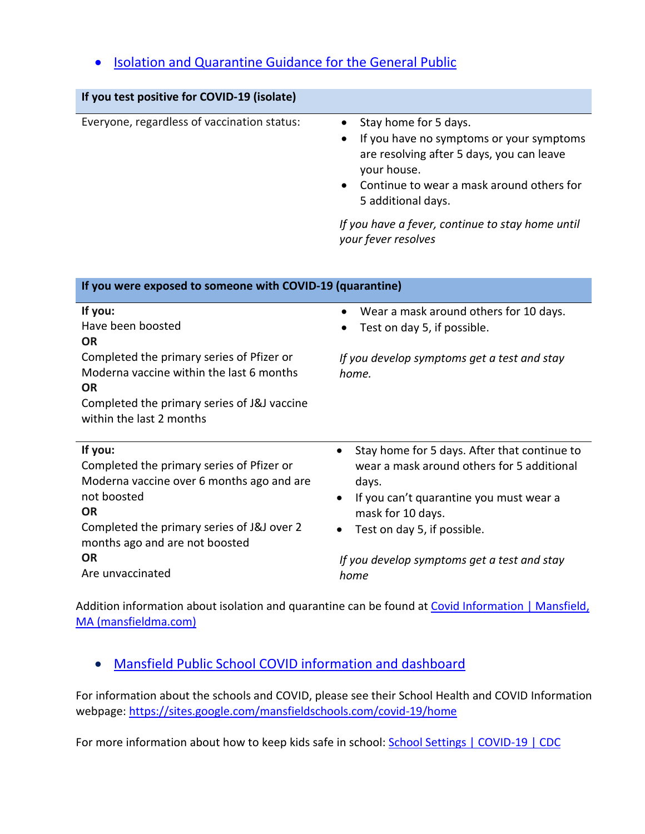## • [Isolation and Quarantine Guidance for the General Public](https://www.mass.gov/info-details/isolation-and-quarantine-guidance-for-the-general-public)

| If you test positive for COVID-19 (isolate)                                                                                                                                                                                                    |                                                                                                                                                                                                                                                                                     |
|------------------------------------------------------------------------------------------------------------------------------------------------------------------------------------------------------------------------------------------------|-------------------------------------------------------------------------------------------------------------------------------------------------------------------------------------------------------------------------------------------------------------------------------------|
| Everyone, regardless of vaccination status:                                                                                                                                                                                                    | Stay home for 5 days.<br>If you have no symptoms or your symptoms<br>$\bullet$<br>are resolving after 5 days, you can leave<br>your house.<br>Continue to wear a mask around others for<br>5 additional days.                                                                       |
|                                                                                                                                                                                                                                                | If you have a fever, continue to stay home until<br>your fever resolves                                                                                                                                                                                                             |
| If you were exposed to someone with COVID-19 (quarantine)                                                                                                                                                                                      |                                                                                                                                                                                                                                                                                     |
| If you:<br>Have been boosted<br><b>OR</b><br>Completed the primary series of Pfizer or<br>Moderna vaccine within the last 6 months<br><b>OR</b><br>Completed the primary series of J&J vaccine<br>within the last 2 months                     | Wear a mask around others for 10 days.<br>$\bullet$<br>Test on day 5, if possible.<br>If you develop symptoms get a test and stay<br>home.                                                                                                                                          |
| If you:<br>Completed the primary series of Pfizer or<br>Moderna vaccine over 6 months ago and are<br>not boosted<br><b>OR</b><br>Completed the primary series of J&J over 2<br>months ago and are not boosted<br><b>OR</b><br>Are unvaccinated | Stay home for 5 days. After that continue to<br>$\bullet$<br>wear a mask around others for 5 additional<br>days.<br>If you can't quarantine you must wear a<br>$\bullet$<br>mask for 10 days.<br>Test on day 5, if possible.<br>If you develop symptoms get a test and stay<br>home |

Addition information about isolation and quarantine can be found at Covid Information | Mansfield, [MA \(mansfieldma.com\)](https://www.mansfieldma.com/601/Covid-Information)

## • [Mansfield Public School COVID information and dashboard](https://sites.google.com/mansfieldschools.com/covid-19/home)

For information about the schools and COVID, please see their School Health and COVID Information webpage: [https://sites.google.com/mansfieldschools.com/covid-19/home](https://sites.google.com/mansfieldschools.com/covid-19/home?fbclid=IwAR0iOibHdYbSAS4vahT7jRMaAEotiNjuySDUya0cF2mhkiXEC0YKi_yklXU)

For more information about how to keep kids safe in school: [School Settings | COVID-19 | CDC](https://www.cdc.gov/coronavirus/2019-ncov/community/schools-childcare/index.html)